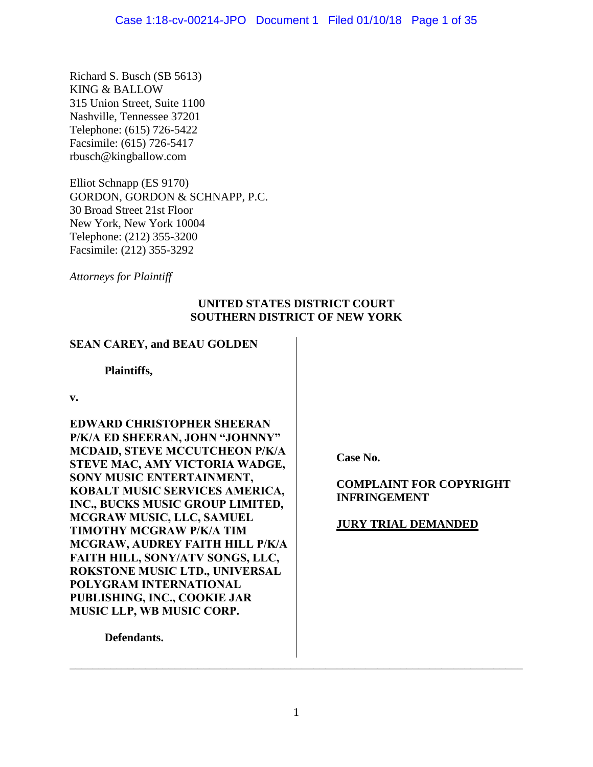Richard S. Busch (SB 5613) KING & BALLOW 315 Union Street, Suite 1100 Nashville, Tennessee 37201 Telephone: (615) 726-5422 Facsimile: (615) 726-5417 rbusch@kingballow.com

Elliot Schnapp (ES 9170) GORDON, GORDON & SCHNAPP, P.C. 30 Broad Street 21st Floor New York, New York 10004 Telephone: (212) 355-3200 Facsimile: (212) 355-3292

*Attorneys for Plaintiff*

# **UNITED STATES DISTRICT COURT SOUTHERN DISTRICT OF NEW YORK**

# **SEAN CAREY, and BEAU GOLDEN**

**Plaintiffs,**

**v.**

**EDWARD CHRISTOPHER SHEERAN P/K/A ED SHEERAN, JOHN "JOHNNY" MCDAID, STEVE MCCUTCHEON P/K/A STEVE MAC, AMY VICTORIA WADGE, SONY MUSIC ENTERTAINMENT, KOBALT MUSIC SERVICES AMERICA, INC., BUCKS MUSIC GROUP LIMITED, MCGRAW MUSIC, LLC, SAMUEL TIMOTHY MCGRAW P/K/A TIM MCGRAW, AUDREY FAITH HILL P/K/A FAITH HILL, SONY/ATV SONGS, LLC, ROKSTONE MUSIC LTD., UNIVERSAL POLYGRAM INTERNATIONAL PUBLISHING, INC., COOKIE JAR MUSIC LLP, WB MUSIC CORP.**

**Case No.** 

# **COMPLAINT FOR COPYRIGHT INFRINGEMENT**

# **JURY TRIAL DEMANDED**

**Defendants.**

\_\_\_\_\_\_\_\_\_\_\_\_\_\_\_\_\_\_\_\_\_\_\_\_\_\_\_\_\_\_\_\_\_\_\_\_\_\_\_\_\_\_\_\_\_\_\_\_\_\_\_\_\_\_\_\_\_\_\_\_\_\_\_\_\_\_\_\_\_\_\_\_\_\_\_\_\_\_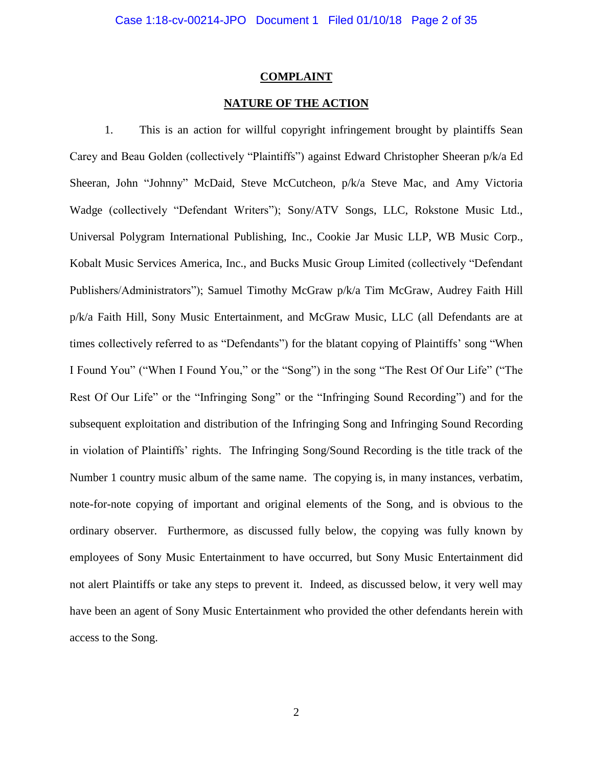### **COMPLAINT**

### **NATURE OF THE ACTION**

1. This is an action for willful copyright infringement brought by plaintiffs Sean Carey and Beau Golden (collectively "Plaintiffs") against Edward Christopher Sheeran p/k/a Ed Sheeran, John "Johnny" McDaid, Steve McCutcheon, p/k/a Steve Mac, and Amy Victoria Wadge (collectively "Defendant Writers"); Sony/ATV Songs, LLC, Rokstone Music Ltd., Universal Polygram International Publishing, Inc., Cookie Jar Music LLP, WB Music Corp., Kobalt Music Services America, Inc., and Bucks Music Group Limited (collectively "Defendant Publishers/Administrators"); Samuel Timothy McGraw p/k/a Tim McGraw, Audrey Faith Hill p/k/a Faith Hill, Sony Music Entertainment, and McGraw Music, LLC (all Defendants are at times collectively referred to as "Defendants") for the blatant copying of Plaintiffs' song "When I Found You" ("When I Found You," or the "Song") in the song "The Rest Of Our Life" ("The Rest Of Our Life" or the "Infringing Song" or the "Infringing Sound Recording") and for the subsequent exploitation and distribution of the Infringing Song and Infringing Sound Recording in violation of Plaintiffs' rights. The Infringing Song/Sound Recording is the title track of the Number 1 country music album of the same name. The copying is, in many instances, verbatim, note-for-note copying of important and original elements of the Song, and is obvious to the ordinary observer. Furthermore, as discussed fully below, the copying was fully known by employees of Sony Music Entertainment to have occurred, but Sony Music Entertainment did not alert Plaintiffs or take any steps to prevent it. Indeed, as discussed below, it very well may have been an agent of Sony Music Entertainment who provided the other defendants herein with access to the Song.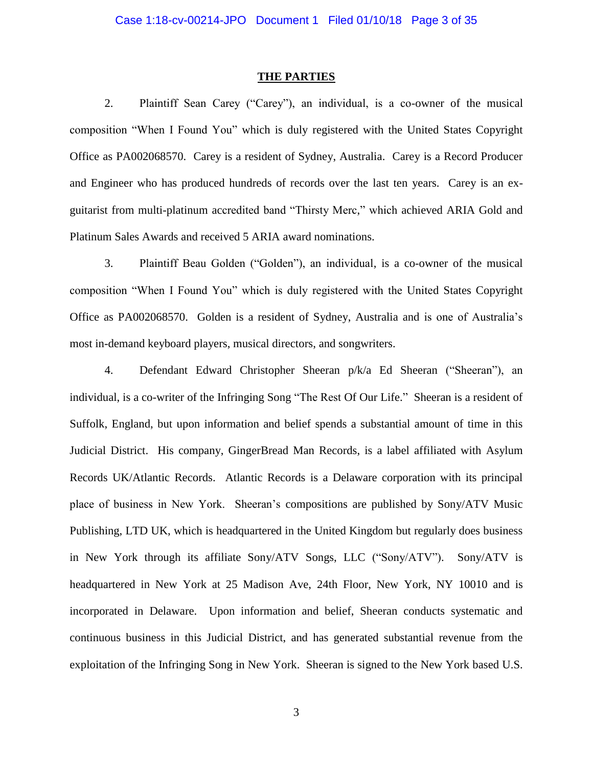#### **THE PARTIES**

2. Plaintiff Sean Carey ("Carey"), an individual, is a co-owner of the musical composition "When I Found You" which is duly registered with the United States Copyright Office as PA002068570. Carey is a resident of Sydney, Australia. Carey is a Record Producer and Engineer who has produced hundreds of records over the last ten years. Carey is an exguitarist from multi-platinum accredited band "Thirsty Merc," which achieved ARIA Gold and Platinum Sales Awards and received 5 ARIA award nominations.

3. Plaintiff Beau Golden ("Golden"), an individual, is a co-owner of the musical composition "When I Found You" which is duly registered with the United States Copyright Office as PA002068570. Golden is a resident of Sydney, Australia and is one of Australia's most in-demand keyboard players, musical directors, and songwriters.

4. Defendant Edward Christopher Sheeran p/k/a Ed Sheeran ("Sheeran"), an individual, is a co-writer of the Infringing Song "The Rest Of Our Life." Sheeran is a resident of Suffolk, England, but upon information and belief spends a substantial amount of time in this Judicial District. His company, GingerBread Man Records, is a label affiliated with Asylum Records UK/Atlantic Records. Atlantic Records is a Delaware corporation with its principal place of business in New York. Sheeran's compositions are published by Sony/ATV Music Publishing, LTD UK, which is headquartered in the United Kingdom but regularly does business in New York through its affiliate Sony/ATV Songs, LLC ("Sony/ATV"). Sony/ATV is headquartered in New York at 25 Madison Ave, 24th Floor, New York, NY 10010 and is incorporated in Delaware. Upon information and belief, Sheeran conducts systematic and continuous business in this Judicial District, and has generated substantial revenue from the exploitation of the Infringing Song in New York. Sheeran is signed to the New York based U.S.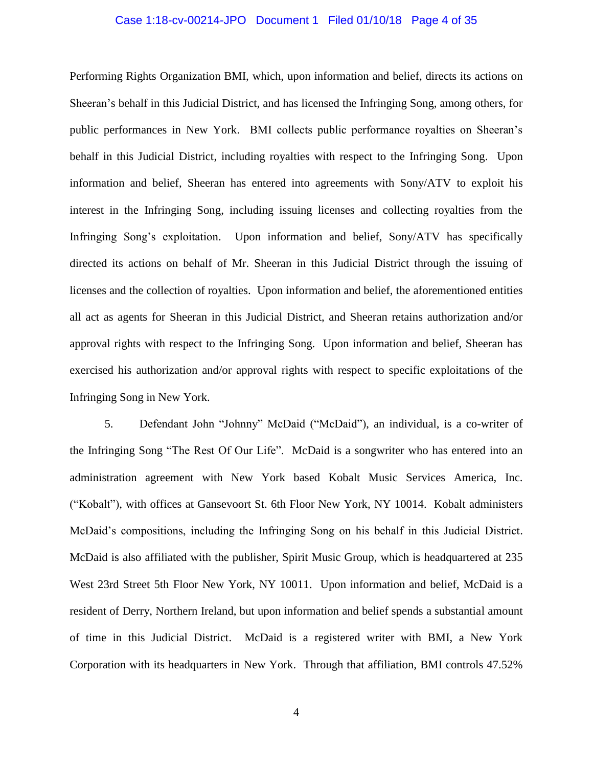### Case 1:18-cv-00214-JPO Document 1 Filed 01/10/18 Page 4 of 35

Performing Rights Organization BMI, which, upon information and belief, directs its actions on Sheeran's behalf in this Judicial District, and has licensed the Infringing Song, among others, for public performances in New York. BMI collects public performance royalties on Sheeran's behalf in this Judicial District, including royalties with respect to the Infringing Song. Upon information and belief, Sheeran has entered into agreements with Sony/ATV to exploit his interest in the Infringing Song, including issuing licenses and collecting royalties from the Infringing Song's exploitation. Upon information and belief, Sony/ATV has specifically directed its actions on behalf of Mr. Sheeran in this Judicial District through the issuing of licenses and the collection of royalties. Upon information and belief, the aforementioned entities all act as agents for Sheeran in this Judicial District, and Sheeran retains authorization and/or approval rights with respect to the Infringing Song. Upon information and belief, Sheeran has exercised his authorization and/or approval rights with respect to specific exploitations of the Infringing Song in New York.

5. Defendant John "Johnny" McDaid ("McDaid"), an individual, is a co-writer of the Infringing Song "The Rest Of Our Life". McDaid is a songwriter who has entered into an administration agreement with New York based Kobalt Music Services America, Inc. ("Kobalt"), with offices at Gansevoort St. 6th Floor New York, NY 10014. Kobalt administers McDaid's compositions, including the Infringing Song on his behalf in this Judicial District. McDaid is also affiliated with the publisher, Spirit Music Group, which is headquartered at 235 West 23rd Street 5th Floor New York, NY 10011. Upon information and belief, McDaid is a resident of Derry, Northern Ireland, but upon information and belief spends a substantial amount of time in this Judicial District. McDaid is a registered writer with BMI, a New York Corporation with its headquarters in New York. Through that affiliation, BMI controls 47.52%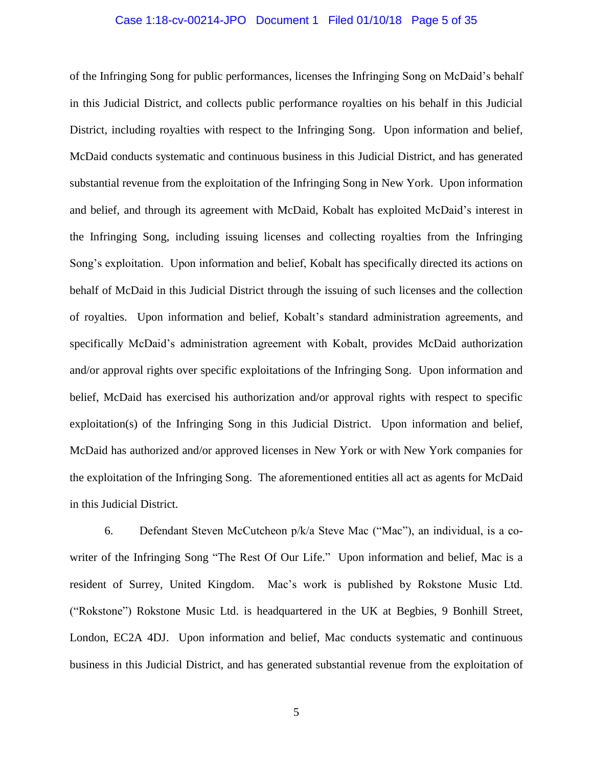#### Case 1:18-cv-00214-JPO Document 1 Filed 01/10/18 Page 5 of 35

of the Infringing Song for public performances, licenses the Infringing Song on McDaid's behalf in this Judicial District, and collects public performance royalties on his behalf in this Judicial District, including royalties with respect to the Infringing Song. Upon information and belief, McDaid conducts systematic and continuous business in this Judicial District, and has generated substantial revenue from the exploitation of the Infringing Song in New York. Upon information and belief, and through its agreement with McDaid, Kobalt has exploited McDaid's interest in the Infringing Song, including issuing licenses and collecting royalties from the Infringing Song's exploitation. Upon information and belief, Kobalt has specifically directed its actions on behalf of McDaid in this Judicial District through the issuing of such licenses and the collection of royalties. Upon information and belief, Kobalt's standard administration agreements, and specifically McDaid's administration agreement with Kobalt, provides McDaid authorization and/or approval rights over specific exploitations of the Infringing Song. Upon information and belief, McDaid has exercised his authorization and/or approval rights with respect to specific exploitation(s) of the Infringing Song in this Judicial District. Upon information and belief, McDaid has authorized and/or approved licenses in New York or with New York companies for the exploitation of the Infringing Song. The aforementioned entities all act as agents for McDaid in this Judicial District.

6. Defendant Steven McCutcheon p/k/a Steve Mac ("Mac"), an individual, is a cowriter of the Infringing Song "The Rest Of Our Life." Upon information and belief, Mac is a resident of Surrey, United Kingdom. Mac's work is published by Rokstone Music Ltd. ("Rokstone") Rokstone Music Ltd. is headquartered in the UK at Begbies, 9 Bonhill Street, London, EC2A 4DJ. Upon information and belief, Mac conducts systematic and continuous business in this Judicial District, and has generated substantial revenue from the exploitation of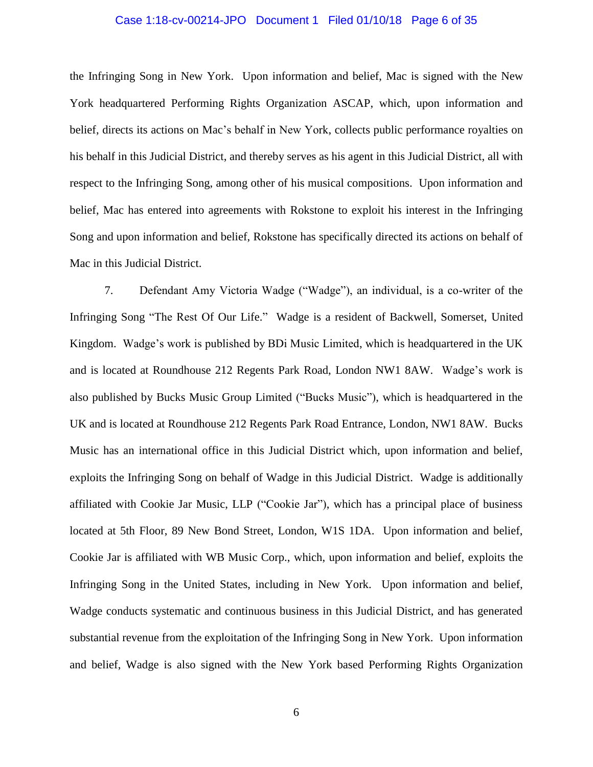### Case 1:18-cv-00214-JPO Document 1 Filed 01/10/18 Page 6 of 35

the Infringing Song in New York. Upon information and belief, Mac is signed with the New York headquartered Performing Rights Organization ASCAP, which, upon information and belief, directs its actions on Mac's behalf in New York, collects public performance royalties on his behalf in this Judicial District, and thereby serves as his agent in this Judicial District, all with respect to the Infringing Song, among other of his musical compositions. Upon information and belief, Mac has entered into agreements with Rokstone to exploit his interest in the Infringing Song and upon information and belief, Rokstone has specifically directed its actions on behalf of Mac in this Judicial District.

7. Defendant Amy Victoria Wadge ("Wadge"), an individual, is a co-writer of the Infringing Song "The Rest Of Our Life." Wadge is a resident of Backwell, Somerset, United Kingdom. Wadge's work is published by BDi Music Limited, which is headquartered in the UK and is located at Roundhouse 212 Regents Park Road, London NW1 8AW. Wadge's work is also published by Bucks Music Group Limited ("Bucks Music"), which is headquartered in the UK and is located at Roundhouse 212 Regents Park Road Entrance, London, NW1 8AW. Bucks Music has an international office in this Judicial District which, upon information and belief, exploits the Infringing Song on behalf of Wadge in this Judicial District. Wadge is additionally affiliated with Cookie Jar Music, LLP ("Cookie Jar"), which has a principal place of business located at 5th Floor, 89 New Bond Street, London, W1S 1DA. Upon information and belief, Cookie Jar is affiliated with WB Music Corp., which, upon information and belief, exploits the Infringing Song in the United States, including in New York. Upon information and belief, Wadge conducts systematic and continuous business in this Judicial District, and has generated substantial revenue from the exploitation of the Infringing Song in New York. Upon information and belief, Wadge is also signed with the New York based Performing Rights Organization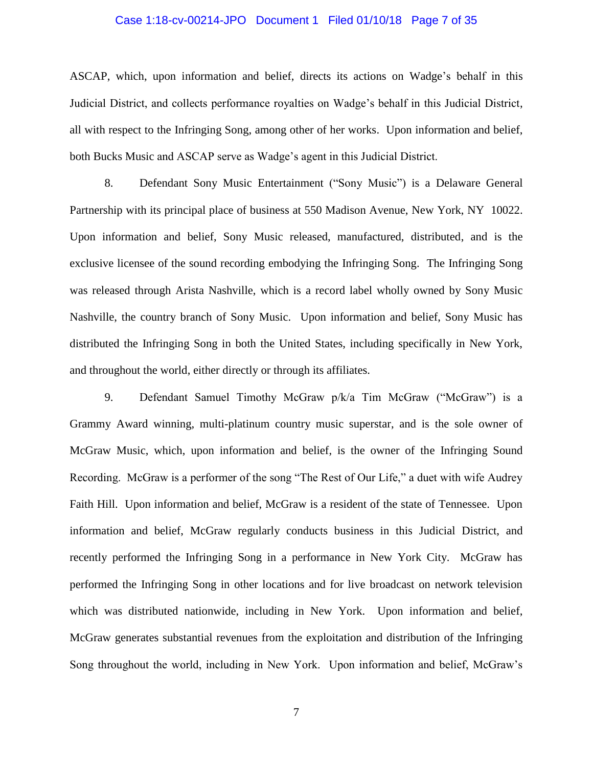### Case 1:18-cv-00214-JPO Document 1 Filed 01/10/18 Page 7 of 35

ASCAP, which, upon information and belief, directs its actions on Wadge's behalf in this Judicial District, and collects performance royalties on Wadge's behalf in this Judicial District, all with respect to the Infringing Song, among other of her works. Upon information and belief, both Bucks Music and ASCAP serve as Wadge's agent in this Judicial District.

8. Defendant Sony Music Entertainment ("Sony Music") is a Delaware General Partnership with its principal place of business at 550 Madison Avenue, New York, NY 10022. Upon information and belief, Sony Music released, manufactured, distributed, and is the exclusive licensee of the sound recording embodying the Infringing Song. The Infringing Song was released through Arista Nashville, which is a record label wholly owned by Sony Music Nashville, the country branch of Sony Music. Upon information and belief, Sony Music has distributed the Infringing Song in both the United States, including specifically in New York, and throughout the world, either directly or through its affiliates.

9. Defendant Samuel Timothy McGraw p/k/a Tim McGraw ("McGraw") is a Grammy Award winning, multi-platinum country music superstar, and is the sole owner of McGraw Music, which, upon information and belief, is the owner of the Infringing Sound Recording. McGraw is a performer of the song "The Rest of Our Life," a duet with wife Audrey Faith Hill. Upon information and belief, McGraw is a resident of the state of Tennessee. Upon information and belief, McGraw regularly conducts business in this Judicial District, and recently performed the Infringing Song in a performance in New York City. McGraw has performed the Infringing Song in other locations and for live broadcast on network television which was distributed nationwide, including in New York. Upon information and belief, McGraw generates substantial revenues from the exploitation and distribution of the Infringing Song throughout the world, including in New York. Upon information and belief, McGraw's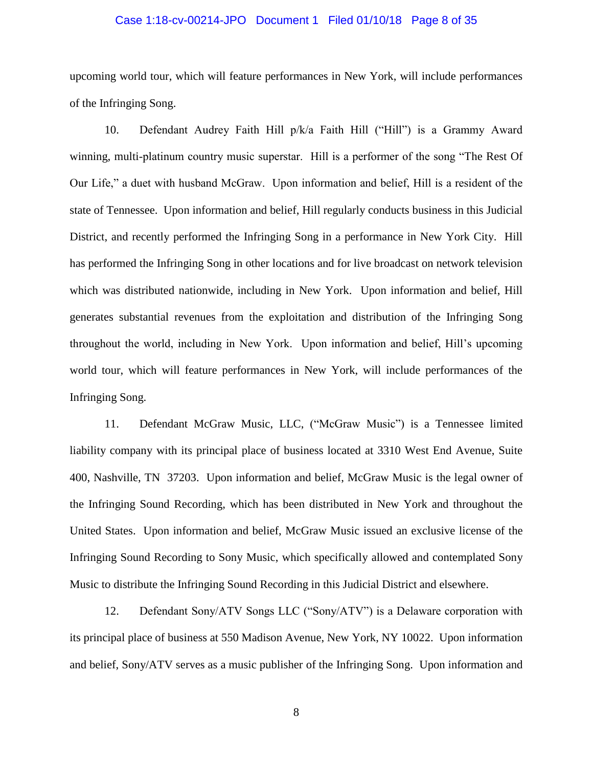### Case 1:18-cv-00214-JPO Document 1 Filed 01/10/18 Page 8 of 35

upcoming world tour, which will feature performances in New York, will include performances of the Infringing Song.

10. Defendant Audrey Faith Hill p/k/a Faith Hill ("Hill") is a Grammy Award winning, multi-platinum country music superstar. Hill is a performer of the song "The Rest Of Our Life," a duet with husband McGraw. Upon information and belief, Hill is a resident of the state of Tennessee. Upon information and belief, Hill regularly conducts business in this Judicial District, and recently performed the Infringing Song in a performance in New York City. Hill has performed the Infringing Song in other locations and for live broadcast on network television which was distributed nationwide, including in New York. Upon information and belief, Hill generates substantial revenues from the exploitation and distribution of the Infringing Song throughout the world, including in New York. Upon information and belief, Hill's upcoming world tour, which will feature performances in New York, will include performances of the Infringing Song.

11. Defendant McGraw Music, LLC, ("McGraw Music") is a Tennessee limited liability company with its principal place of business located at 3310 West End Avenue, Suite 400, Nashville, TN 37203. Upon information and belief, McGraw Music is the legal owner of the Infringing Sound Recording, which has been distributed in New York and throughout the United States. Upon information and belief, McGraw Music issued an exclusive license of the Infringing Sound Recording to Sony Music, which specifically allowed and contemplated Sony Music to distribute the Infringing Sound Recording in this Judicial District and elsewhere.

12. Defendant Sony/ATV Songs LLC ("Sony/ATV") is a Delaware corporation with its principal place of business at 550 Madison Avenue, New York, NY 10022. Upon information and belief, Sony/ATV serves as a music publisher of the Infringing Song. Upon information and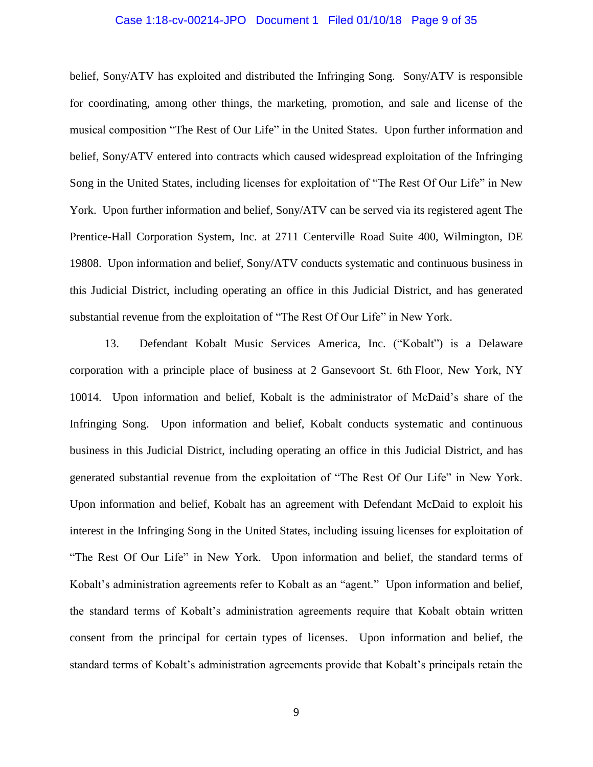### Case 1:18-cv-00214-JPO Document 1 Filed 01/10/18 Page 9 of 35

belief, Sony/ATV has exploited and distributed the Infringing Song. Sony/ATV is responsible for coordinating, among other things, the marketing, promotion, and sale and license of the musical composition "The Rest of Our Life" in the United States. Upon further information and belief, Sony/ATV entered into contracts which caused widespread exploitation of the Infringing Song in the United States, including licenses for exploitation of "The Rest Of Our Life" in New York. Upon further information and belief, Sony/ATV can be served via its registered agent The Prentice-Hall Corporation System, Inc. at 2711 Centerville Road Suite 400, Wilmington, DE 19808. Upon information and belief, Sony/ATV conducts systematic and continuous business in this Judicial District, including operating an office in this Judicial District, and has generated substantial revenue from the exploitation of "The Rest Of Our Life" in New York.

13. Defendant Kobalt Music Services America, Inc. ("Kobalt") is a Delaware corporation with a principle place of business at 2 Gansevoort St. 6th Floor, New York, NY 10014. Upon information and belief, Kobalt is the administrator of McDaid's share of the Infringing Song. Upon information and belief, Kobalt conducts systematic and continuous business in this Judicial District, including operating an office in this Judicial District, and has generated substantial revenue from the exploitation of "The Rest Of Our Life" in New York. Upon information and belief, Kobalt has an agreement with Defendant McDaid to exploit his interest in the Infringing Song in the United States, including issuing licenses for exploitation of "The Rest Of Our Life" in New York. Upon information and belief, the standard terms of Kobalt's administration agreements refer to Kobalt as an "agent." Upon information and belief, the standard terms of Kobalt's administration agreements require that Kobalt obtain written consent from the principal for certain types of licenses. Upon information and belief, the standard terms of Kobalt's administration agreements provide that Kobalt's principals retain the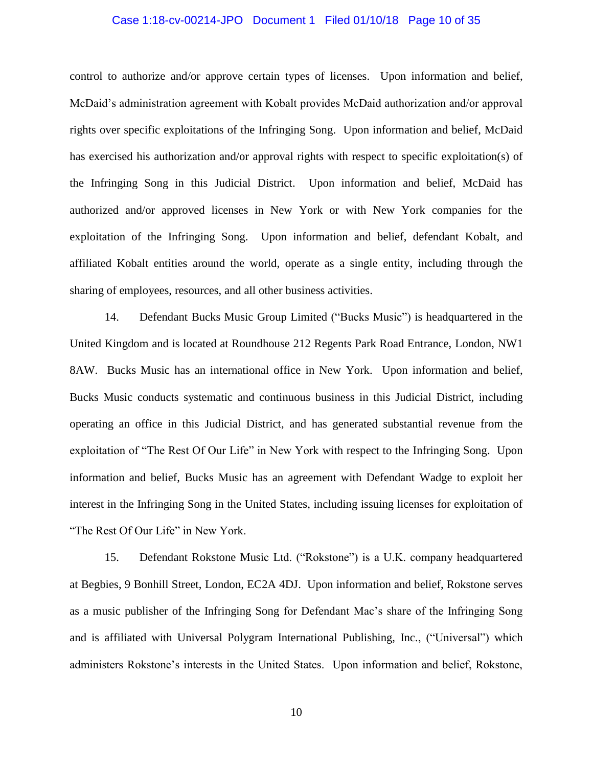# Case 1:18-cv-00214-JPO Document 1 Filed 01/10/18 Page 10 of 35

control to authorize and/or approve certain types of licenses. Upon information and belief, McDaid's administration agreement with Kobalt provides McDaid authorization and/or approval rights over specific exploitations of the Infringing Song. Upon information and belief, McDaid has exercised his authorization and/or approval rights with respect to specific exploitation(s) of the Infringing Song in this Judicial District. Upon information and belief, McDaid has authorized and/or approved licenses in New York or with New York companies for the exploitation of the Infringing Song. Upon information and belief, defendant Kobalt, and affiliated Kobalt entities around the world, operate as a single entity, including through the sharing of employees, resources, and all other business activities.

14. Defendant Bucks Music Group Limited ("Bucks Music") is headquartered in the United Kingdom and is located at Roundhouse 212 Regents Park Road Entrance, London, NW1 8AW. Bucks Music has an international office in New York. Upon information and belief, Bucks Music conducts systematic and continuous business in this Judicial District, including operating an office in this Judicial District, and has generated substantial revenue from the exploitation of "The Rest Of Our Life" in New York with respect to the Infringing Song. Upon information and belief, Bucks Music has an agreement with Defendant Wadge to exploit her interest in the Infringing Song in the United States, including issuing licenses for exploitation of "The Rest Of Our Life" in New York.

15. Defendant Rokstone Music Ltd. ("Rokstone") is a U.K. company headquartered at Begbies, 9 Bonhill Street, London, EC2A 4DJ. Upon information and belief, Rokstone serves as a music publisher of the Infringing Song for Defendant Mac's share of the Infringing Song and is affiliated with Universal Polygram International Publishing, Inc., ("Universal") which administers Rokstone's interests in the United States. Upon information and belief, Rokstone,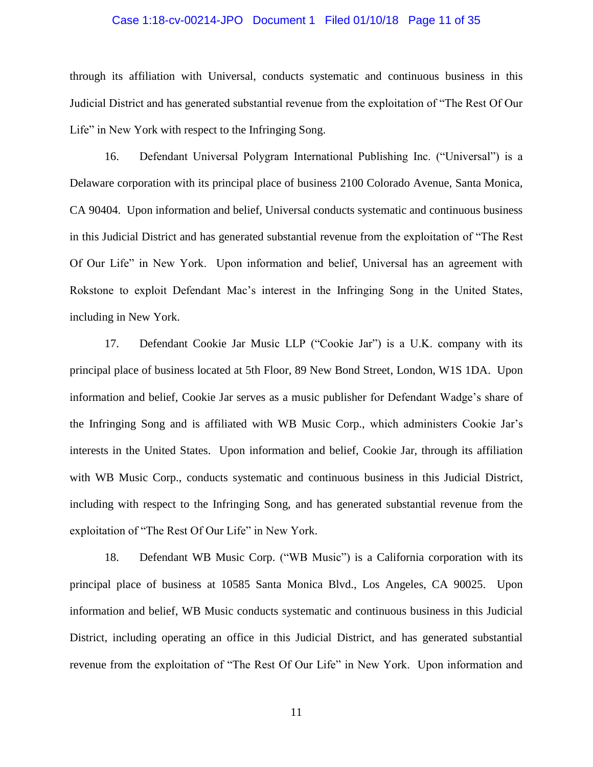### Case 1:18-cv-00214-JPO Document 1 Filed 01/10/18 Page 11 of 35

through its affiliation with Universal, conducts systematic and continuous business in this Judicial District and has generated substantial revenue from the exploitation of "The Rest Of Our Life" in New York with respect to the Infringing Song.

16. Defendant Universal Polygram International Publishing Inc. ("Universal") is a Delaware corporation with its principal place of business 2100 Colorado Avenue, Santa Monica, CA 90404. Upon information and belief, Universal conducts systematic and continuous business in this Judicial District and has generated substantial revenue from the exploitation of "The Rest Of Our Life" in New York. Upon information and belief, Universal has an agreement with Rokstone to exploit Defendant Mac's interest in the Infringing Song in the United States, including in New York.

17. Defendant Cookie Jar Music LLP ("Cookie Jar") is a U.K. company with its principal place of business located at 5th Floor, 89 New Bond Street, London, W1S 1DA. Upon information and belief, Cookie Jar serves as a music publisher for Defendant Wadge's share of the Infringing Song and is affiliated with WB Music Corp., which administers Cookie Jar's interests in the United States. Upon information and belief, Cookie Jar, through its affiliation with WB Music Corp., conducts systematic and continuous business in this Judicial District, including with respect to the Infringing Song, and has generated substantial revenue from the exploitation of "The Rest Of Our Life" in New York.

18. Defendant WB Music Corp. ("WB Music") is a California corporation with its principal place of business at 10585 Santa Monica Blvd., Los Angeles, CA 90025. Upon information and belief, WB Music conducts systematic and continuous business in this Judicial District, including operating an office in this Judicial District, and has generated substantial revenue from the exploitation of "The Rest Of Our Life" in New York. Upon information and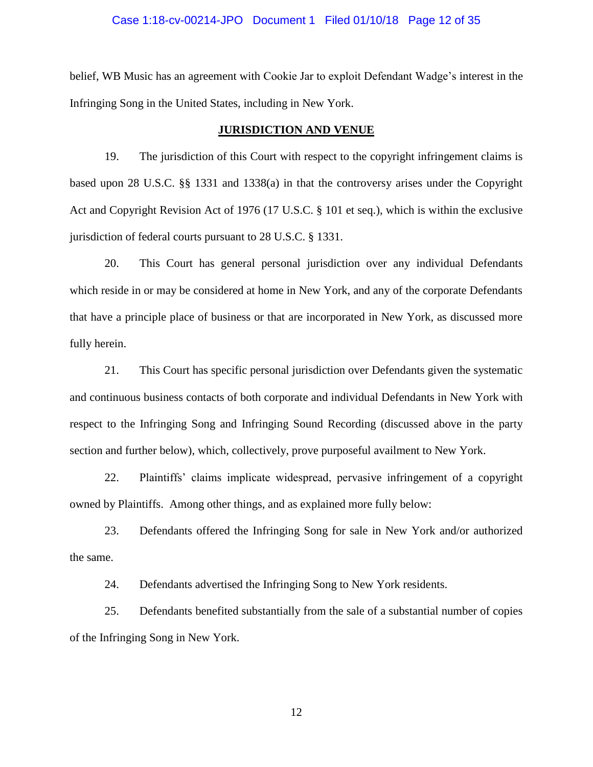### Case 1:18-cv-00214-JPO Document 1 Filed 01/10/18 Page 12 of 35

belief, WB Music has an agreement with Cookie Jar to exploit Defendant Wadge's interest in the Infringing Song in the United States, including in New York.

#### **JURISDICTION AND VENUE**

19. The jurisdiction of this Court with respect to the copyright infringement claims is based upon 28 U.S.C. §§ 1331 and 1338(a) in that the controversy arises under the Copyright Act and Copyright Revision Act of 1976 (17 U.S.C. § 101 et seq.), which is within the exclusive jurisdiction of federal courts pursuant to 28 U.S.C. § 1331.

20. This Court has general personal jurisdiction over any individual Defendants which reside in or may be considered at home in New York, and any of the corporate Defendants that have a principle place of business or that are incorporated in New York, as discussed more fully herein.

21. This Court has specific personal jurisdiction over Defendants given the systematic and continuous business contacts of both corporate and individual Defendants in New York with respect to the Infringing Song and Infringing Sound Recording (discussed above in the party section and further below), which, collectively, prove purposeful availment to New York.

22. Plaintiffs' claims implicate widespread, pervasive infringement of a copyright owned by Plaintiffs. Among other things, and as explained more fully below:

23. Defendants offered the Infringing Song for sale in New York and/or authorized the same.

24. Defendants advertised the Infringing Song to New York residents.

25. Defendants benefited substantially from the sale of a substantial number of copies of the Infringing Song in New York.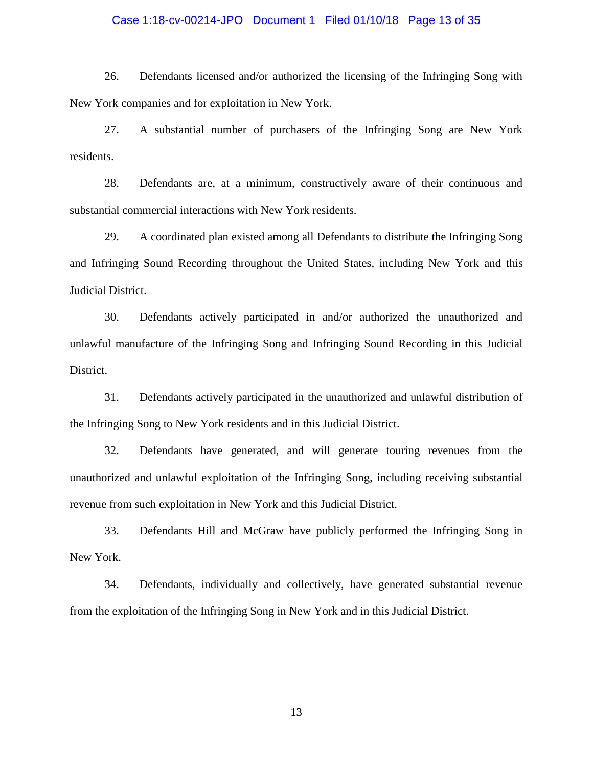# Case 1:18-cv-00214-JPO Document 1 Filed 01/10/18 Page 13 of 35

26. Defendants licensed and/or authorized the licensing of the Infringing Song with New York companies and for exploitation in New York.

27. A substantial number of purchasers of the Infringing Song are New York residents.

28. Defendants are, at a minimum, constructively aware of their continuous and substantial commercial interactions with New York residents.

29. A coordinated plan existed among all Defendants to distribute the Infringing Song and Infringing Sound Recording throughout the United States, including New York and this Judicial District.

30. Defendants actively participated in and/or authorized the unauthorized and unlawful manufacture of the Infringing Song and Infringing Sound Recording in this Judicial District.

31. Defendants actively participated in the unauthorized and unlawful distribution of the Infringing Song to New York residents and in this Judicial District.

32. Defendants have generated, and will generate touring revenues from the unauthorized and unlawful exploitation of the Infringing Song, including receiving substantial revenue from such exploitation in New York and this Judicial District.

33. Defendants Hill and McGraw have publicly performed the Infringing Song in New York.

34. Defendants, individually and collectively, have generated substantial revenue from the exploitation of the Infringing Song in New York and in this Judicial District.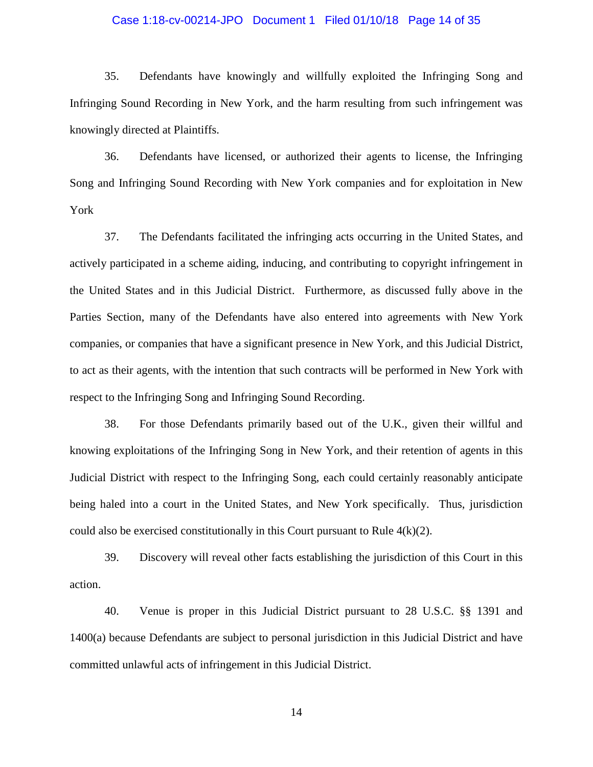### Case 1:18-cv-00214-JPO Document 1 Filed 01/10/18 Page 14 of 35

35. Defendants have knowingly and willfully exploited the Infringing Song and Infringing Sound Recording in New York, and the harm resulting from such infringement was knowingly directed at Plaintiffs.

36. Defendants have licensed, or authorized their agents to license, the Infringing Song and Infringing Sound Recording with New York companies and for exploitation in New York

37. The Defendants facilitated the infringing acts occurring in the United States, and actively participated in a scheme aiding, inducing, and contributing to copyright infringement in the United States and in this Judicial District. Furthermore, as discussed fully above in the Parties Section, many of the Defendants have also entered into agreements with New York companies, or companies that have a significant presence in New York, and this Judicial District, to act as their agents, with the intention that such contracts will be performed in New York with respect to the Infringing Song and Infringing Sound Recording.

38. For those Defendants primarily based out of the U.K., given their willful and knowing exploitations of the Infringing Song in New York, and their retention of agents in this Judicial District with respect to the Infringing Song, each could certainly reasonably anticipate being haled into a court in the United States, and New York specifically. Thus, jurisdiction could also be exercised constitutionally in this Court pursuant to Rule  $4(k)(2)$ .

39. Discovery will reveal other facts establishing the jurisdiction of this Court in this action.

40. Venue is proper in this Judicial District pursuant to 28 U.S.C. §§ 1391 and 1400(a) because Defendants are subject to personal jurisdiction in this Judicial District and have committed unlawful acts of infringement in this Judicial District.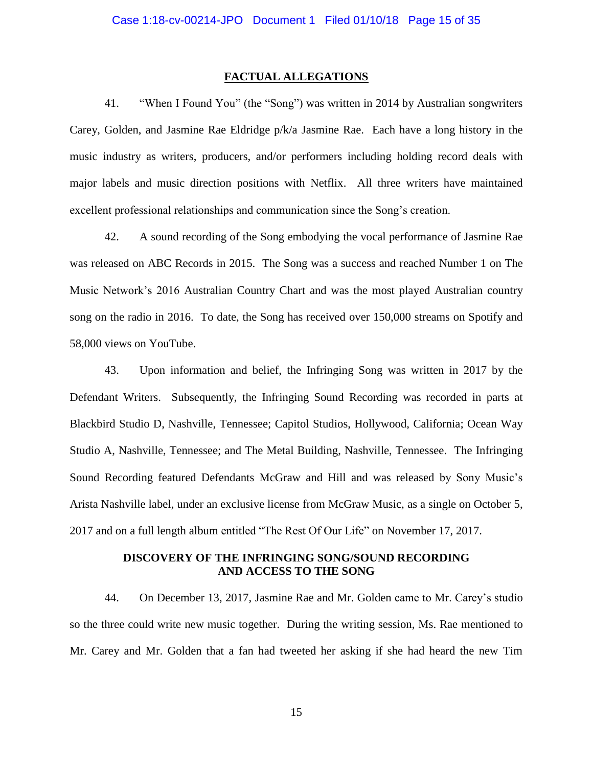### **FACTUAL ALLEGATIONS**

41. "When I Found You" (the "Song") was written in 2014 by Australian songwriters Carey, Golden, and Jasmine Rae Eldridge  $p/k/a$  Jasmine Rae. Each have a long history in the music industry as writers, producers, and/or performers including holding record deals with major labels and music direction positions with Netflix. All three writers have maintained excellent professional relationships and communication since the Song's creation.

42. A sound recording of the Song embodying the vocal performance of Jasmine Rae was released on ABC Records in 2015. The Song was a success and reached Number 1 on The Music Network's 2016 Australian Country Chart and was the most played Australian country song on the radio in 2016. To date, the Song has received over 150,000 streams on Spotify and 58,000 views on YouTube.

43. Upon information and belief, the Infringing Song was written in 2017 by the Defendant Writers. Subsequently, the Infringing Sound Recording was recorded in parts at Blackbird Studio D, Nashville, Tennessee; Capitol Studios, Hollywood, California; Ocean Way Studio A, Nashville, Tennessee; and The Metal Building, Nashville, Tennessee. The Infringing Sound Recording featured Defendants McGraw and Hill and was released by Sony Music's Arista Nashville label, under an exclusive license from McGraw Music, as a single on October 5, 2017 and on a full length album entitled "The Rest Of Our Life" on November 17, 2017.

## **DISCOVERY OF THE INFRINGING SONG/SOUND RECORDING AND ACCESS TO THE SONG**

44. On December 13, 2017, Jasmine Rae and Mr. Golden came to Mr. Carey's studio so the three could write new music together. During the writing session, Ms. Rae mentioned to Mr. Carey and Mr. Golden that a fan had tweeted her asking if she had heard the new Tim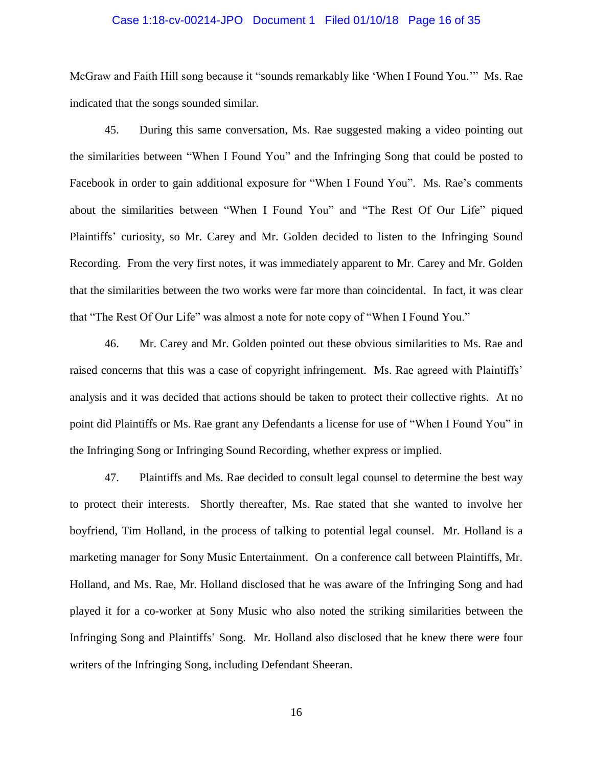# Case 1:18-cv-00214-JPO Document 1 Filed 01/10/18 Page 16 of 35

McGraw and Faith Hill song because it "sounds remarkably like 'When I Found You.'" Ms. Rae indicated that the songs sounded similar.

45. During this same conversation, Ms. Rae suggested making a video pointing out the similarities between "When I Found You" and the Infringing Song that could be posted to Facebook in order to gain additional exposure for "When I Found You". Ms. Rae's comments about the similarities between "When I Found You" and "The Rest Of Our Life" piqued Plaintiffs' curiosity, so Mr. Carey and Mr. Golden decided to listen to the Infringing Sound Recording. From the very first notes, it was immediately apparent to Mr. Carey and Mr. Golden that the similarities between the two works were far more than coincidental. In fact, it was clear that "The Rest Of Our Life" was almost a note for note copy of "When I Found You."

46. Mr. Carey and Mr. Golden pointed out these obvious similarities to Ms. Rae and raised concerns that this was a case of copyright infringement. Ms. Rae agreed with Plaintiffs' analysis and it was decided that actions should be taken to protect their collective rights. At no point did Plaintiffs or Ms. Rae grant any Defendants a license for use of "When I Found You" in the Infringing Song or Infringing Sound Recording, whether express or implied.

47. Plaintiffs and Ms. Rae decided to consult legal counsel to determine the best way to protect their interests. Shortly thereafter, Ms. Rae stated that she wanted to involve her boyfriend, Tim Holland, in the process of talking to potential legal counsel. Mr. Holland is a marketing manager for Sony Music Entertainment. On a conference call between Plaintiffs, Mr. Holland, and Ms. Rae, Mr. Holland disclosed that he was aware of the Infringing Song and had played it for a co-worker at Sony Music who also noted the striking similarities between the Infringing Song and Plaintiffs' Song. Mr. Holland also disclosed that he knew there were four writers of the Infringing Song, including Defendant Sheeran.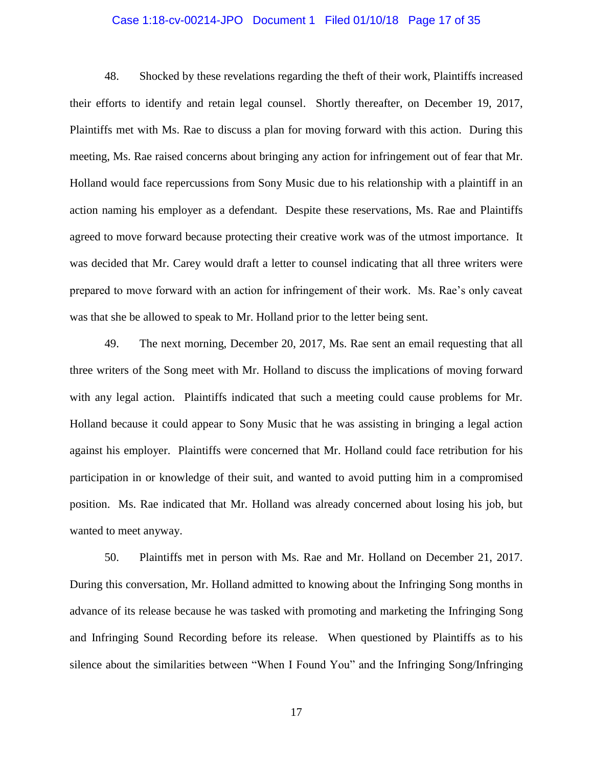# Case 1:18-cv-00214-JPO Document 1 Filed 01/10/18 Page 17 of 35

48. Shocked by these revelations regarding the theft of their work, Plaintiffs increased their efforts to identify and retain legal counsel. Shortly thereafter, on December 19, 2017, Plaintiffs met with Ms. Rae to discuss a plan for moving forward with this action. During this meeting, Ms. Rae raised concerns about bringing any action for infringement out of fear that Mr. Holland would face repercussions from Sony Music due to his relationship with a plaintiff in an action naming his employer as a defendant. Despite these reservations, Ms. Rae and Plaintiffs agreed to move forward because protecting their creative work was of the utmost importance. It was decided that Mr. Carey would draft a letter to counsel indicating that all three writers were prepared to move forward with an action for infringement of their work. Ms. Rae's only caveat was that she be allowed to speak to Mr. Holland prior to the letter being sent.

49. The next morning, December 20, 2017, Ms. Rae sent an email requesting that all three writers of the Song meet with Mr. Holland to discuss the implications of moving forward with any legal action. Plaintiffs indicated that such a meeting could cause problems for Mr. Holland because it could appear to Sony Music that he was assisting in bringing a legal action against his employer. Plaintiffs were concerned that Mr. Holland could face retribution for his participation in or knowledge of their suit, and wanted to avoid putting him in a compromised position. Ms. Rae indicated that Mr. Holland was already concerned about losing his job, but wanted to meet anyway.

50. Plaintiffs met in person with Ms. Rae and Mr. Holland on December 21, 2017. During this conversation, Mr. Holland admitted to knowing about the Infringing Song months in advance of its release because he was tasked with promoting and marketing the Infringing Song and Infringing Sound Recording before its release. When questioned by Plaintiffs as to his silence about the similarities between "When I Found You" and the Infringing Song/Infringing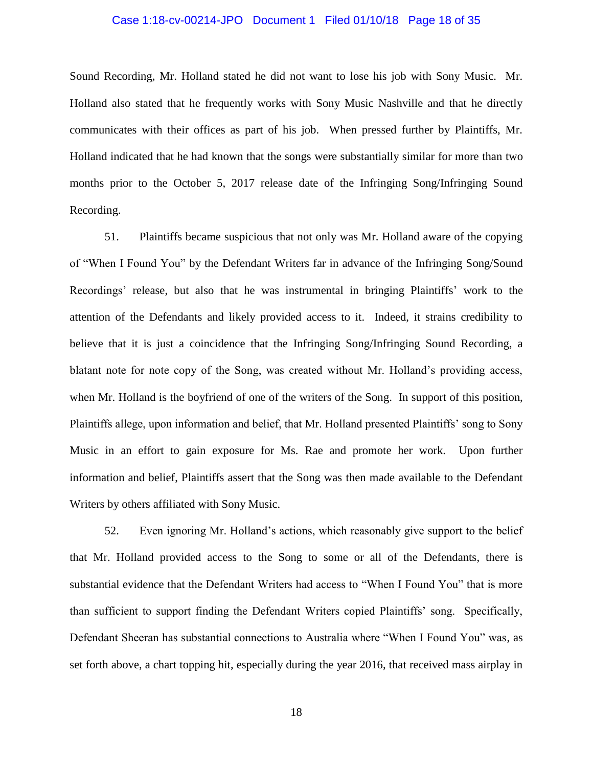# Case 1:18-cv-00214-JPO Document 1 Filed 01/10/18 Page 18 of 35

Sound Recording, Mr. Holland stated he did not want to lose his job with Sony Music. Mr. Holland also stated that he frequently works with Sony Music Nashville and that he directly communicates with their offices as part of his job. When pressed further by Plaintiffs, Mr. Holland indicated that he had known that the songs were substantially similar for more than two months prior to the October 5, 2017 release date of the Infringing Song/Infringing Sound Recording.

51. Plaintiffs became suspicious that not only was Mr. Holland aware of the copying of "When I Found You" by the Defendant Writers far in advance of the Infringing Song/Sound Recordings' release, but also that he was instrumental in bringing Plaintiffs' work to the attention of the Defendants and likely provided access to it. Indeed, it strains credibility to believe that it is just a coincidence that the Infringing Song/Infringing Sound Recording, a blatant note for note copy of the Song, was created without Mr. Holland's providing access, when Mr. Holland is the boyfriend of one of the writers of the Song. In support of this position, Plaintiffs allege, upon information and belief, that Mr. Holland presented Plaintiffs' song to Sony Music in an effort to gain exposure for Ms. Rae and promote her work. Upon further information and belief, Plaintiffs assert that the Song was then made available to the Defendant Writers by others affiliated with Sony Music.

52. Even ignoring Mr. Holland's actions, which reasonably give support to the belief that Mr. Holland provided access to the Song to some or all of the Defendants, there is substantial evidence that the Defendant Writers had access to "When I Found You" that is more than sufficient to support finding the Defendant Writers copied Plaintiffs' song. Specifically, Defendant Sheeran has substantial connections to Australia where "When I Found You" was, as set forth above, a chart topping hit, especially during the year 2016, that received mass airplay in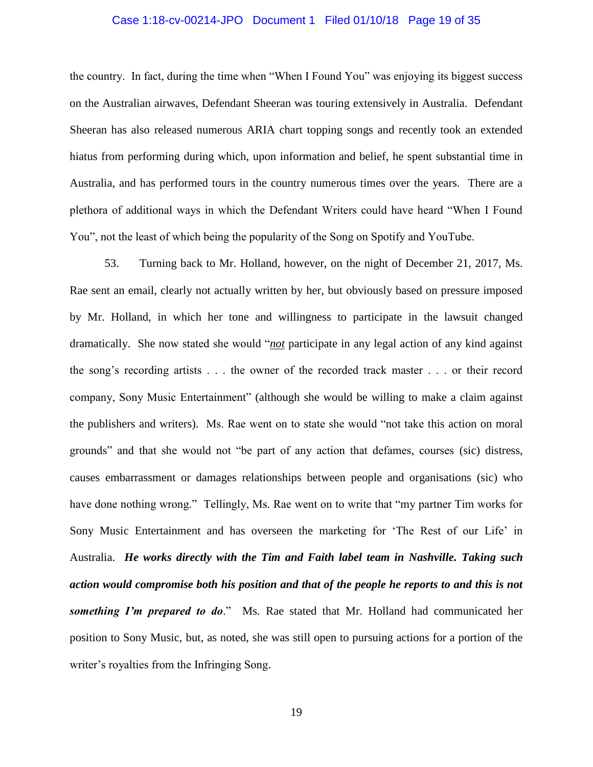# Case 1:18-cv-00214-JPO Document 1 Filed 01/10/18 Page 19 of 35

the country. In fact, during the time when "When I Found You" was enjoying its biggest success on the Australian airwaves, Defendant Sheeran was touring extensively in Australia. Defendant Sheeran has also released numerous ARIA chart topping songs and recently took an extended hiatus from performing during which, upon information and belief, he spent substantial time in Australia, and has performed tours in the country numerous times over the years. There are a plethora of additional ways in which the Defendant Writers could have heard "When I Found You", not the least of which being the popularity of the Song on Spotify and YouTube.

53. Turning back to Mr. Holland, however, on the night of December 21, 2017, Ms. Rae sent an email, clearly not actually written by her, but obviously based on pressure imposed by Mr. Holland, in which her tone and willingness to participate in the lawsuit changed dramatically. She now stated she would "*not* participate in any legal action of any kind against the song's recording artists . . . the owner of the recorded track master . . . or their record company, Sony Music Entertainment" (although she would be willing to make a claim against the publishers and writers). Ms. Rae went on to state she would "not take this action on moral grounds" and that she would not "be part of any action that defames, courses (sic) distress, causes embarrassment or damages relationships between people and organisations (sic) who have done nothing wrong." Tellingly, Ms. Rae went on to write that "my partner Tim works for Sony Music Entertainment and has overseen the marketing for 'The Rest of our Life' in Australia. *He works directly with the Tim and Faith label team in Nashville. Taking such action would compromise both his position and that of the people he reports to and this is not something I'm prepared to do*." Ms. Rae stated that Mr. Holland had communicated her position to Sony Music, but, as noted, she was still open to pursuing actions for a portion of the writer's royalties from the Infringing Song.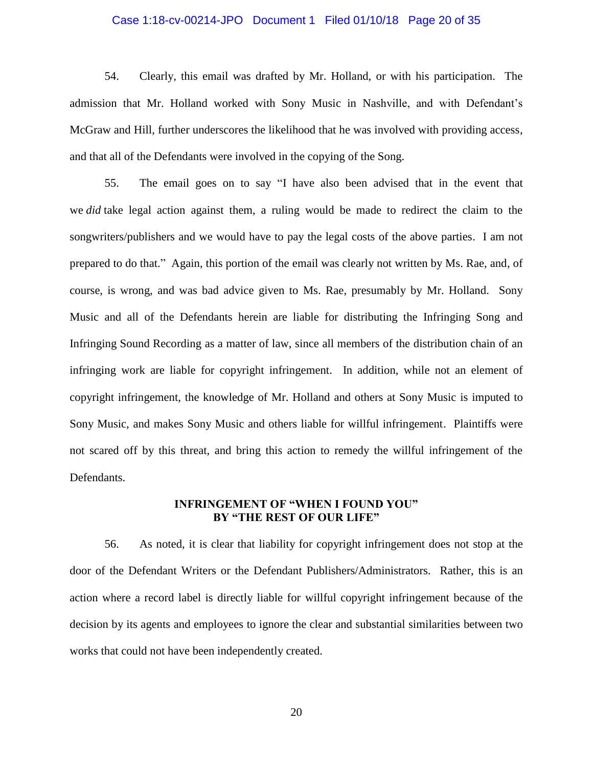# Case 1:18-cv-00214-JPO Document 1 Filed 01/10/18 Page 20 of 35

54. Clearly, this email was drafted by Mr. Holland, or with his participation. The admission that Mr. Holland worked with Sony Music in Nashville, and with Defendant's McGraw and Hill, further underscores the likelihood that he was involved with providing access, and that all of the Defendants were involved in the copying of the Song.

55. The email goes on to say "I have also been advised that in the event that we *did* take legal action against them, a ruling would be made to redirect the claim to the songwriters/publishers and we would have to pay the legal costs of the above parties. I am not prepared to do that." Again, this portion of the email was clearly not written by Ms. Rae, and, of course, is wrong, and was bad advice given to Ms. Rae, presumably by Mr. Holland. Sony Music and all of the Defendants herein are liable for distributing the Infringing Song and Infringing Sound Recording as a matter of law, since all members of the distribution chain of an infringing work are liable for copyright infringement. In addition, while not an element of copyright infringement, the knowledge of Mr. Holland and others at Sony Music is imputed to Sony Music, and makes Sony Music and others liable for willful infringement. Plaintiffs were not scared off by this threat, and bring this action to remedy the willful infringement of the Defendants.

### **INFRINGEMENT OF "WHEN I FOUND YOU" BY "THE REST OF OUR LIFE"**

56. As noted, it is clear that liability for copyright infringement does not stop at the door of the Defendant Writers or the Defendant Publishers/Administrators. Rather, this is an action where a record label is directly liable for willful copyright infringement because of the decision by its agents and employees to ignore the clear and substantial similarities between two works that could not have been independently created.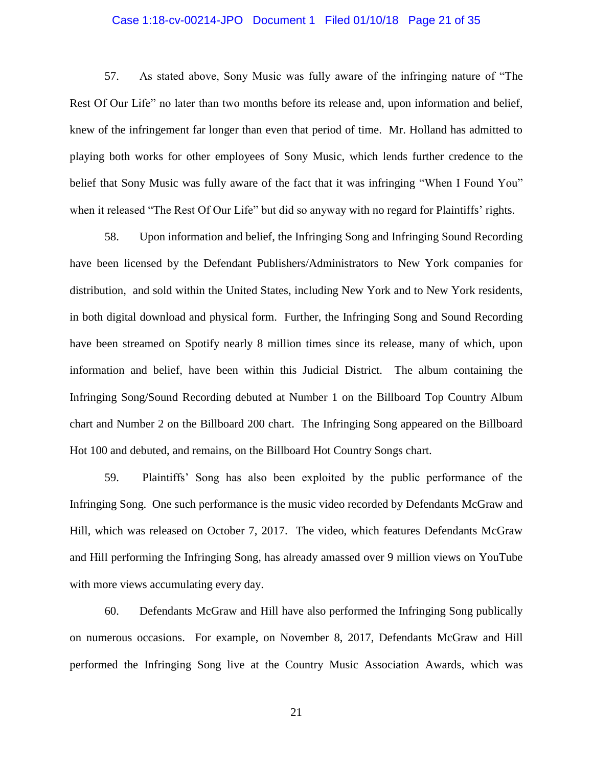# Case 1:18-cv-00214-JPO Document 1 Filed 01/10/18 Page 21 of 35

57. As stated above, Sony Music was fully aware of the infringing nature of "The Rest Of Our Life" no later than two months before its release and, upon information and belief, knew of the infringement far longer than even that period of time. Mr. Holland has admitted to playing both works for other employees of Sony Music, which lends further credence to the belief that Sony Music was fully aware of the fact that it was infringing "When I Found You" when it released "The Rest Of Our Life" but did so anyway with no regard for Plaintiffs' rights.

58. Upon information and belief, the Infringing Song and Infringing Sound Recording have been licensed by the Defendant Publishers/Administrators to New York companies for distribution, and sold within the United States, including New York and to New York residents, in both digital download and physical form. Further, the Infringing Song and Sound Recording have been streamed on Spotify nearly 8 million times since its release, many of which, upon information and belief, have been within this Judicial District. The album containing the Infringing Song/Sound Recording debuted at Number 1 on the Billboard Top Country Album chart and Number 2 on the Billboard 200 chart. The Infringing Song appeared on the Billboard Hot 100 and debuted, and remains, on the Billboard Hot Country Songs chart.

59. Plaintiffs' Song has also been exploited by the public performance of the Infringing Song. One such performance is the music video recorded by Defendants McGraw and Hill, which was released on October 7, 2017. The video, which features Defendants McGraw and Hill performing the Infringing Song, has already amassed over 9 million views on YouTube with more views accumulating every day.

60. Defendants McGraw and Hill have also performed the Infringing Song publically on numerous occasions. For example, on November 8, 2017, Defendants McGraw and Hill performed the Infringing Song live at the Country Music Association Awards, which was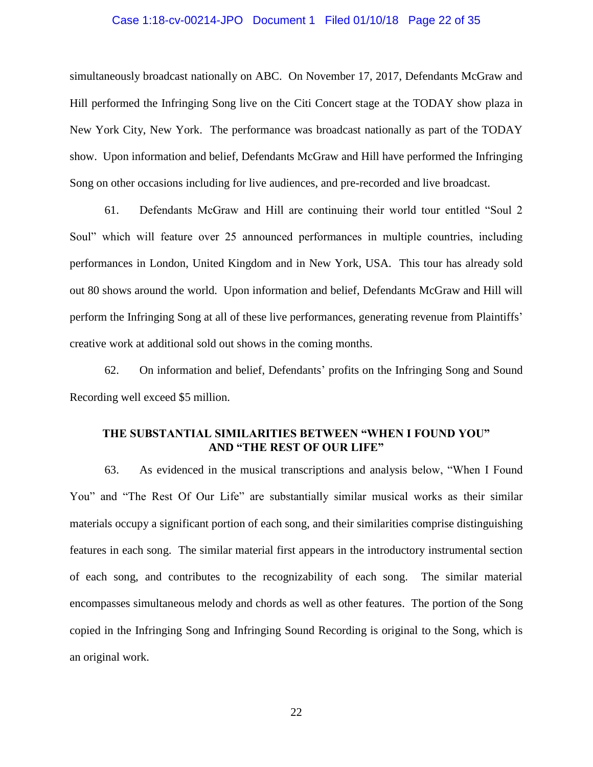# Case 1:18-cv-00214-JPO Document 1 Filed 01/10/18 Page 22 of 35

simultaneously broadcast nationally on ABC. On November 17, 2017, Defendants McGraw and Hill performed the Infringing Song live on the Citi Concert stage at the TODAY show plaza in New York City, New York. The performance was broadcast nationally as part of the TODAY show. Upon information and belief, Defendants McGraw and Hill have performed the Infringing Song on other occasions including for live audiences, and pre-recorded and live broadcast.

61. Defendants McGraw and Hill are continuing their world tour entitled "Soul 2 Soul" which will feature over 25 announced performances in multiple countries, including performances in London, United Kingdom and in New York, USA. This tour has already sold out 80 shows around the world. Upon information and belief, Defendants McGraw and Hill will perform the Infringing Song at all of these live performances, generating revenue from Plaintiffs' creative work at additional sold out shows in the coming months.

62. On information and belief, Defendants' profits on the Infringing Song and Sound Recording well exceed \$5 million.

# **THE SUBSTANTIAL SIMILARITIES BETWEEN "WHEN I FOUND YOU" AND "THE REST OF OUR LIFE"**

63. As evidenced in the musical transcriptions and analysis below, "When I Found You" and "The Rest Of Our Life" are substantially similar musical works as their similar materials occupy a significant portion of each song, and their similarities comprise distinguishing features in each song. The similar material first appears in the introductory instrumental section of each song, and contributes to the recognizability of each song. The similar material encompasses simultaneous melody and chords as well as other features. The portion of the Song copied in the Infringing Song and Infringing Sound Recording is original to the Song, which is an original work.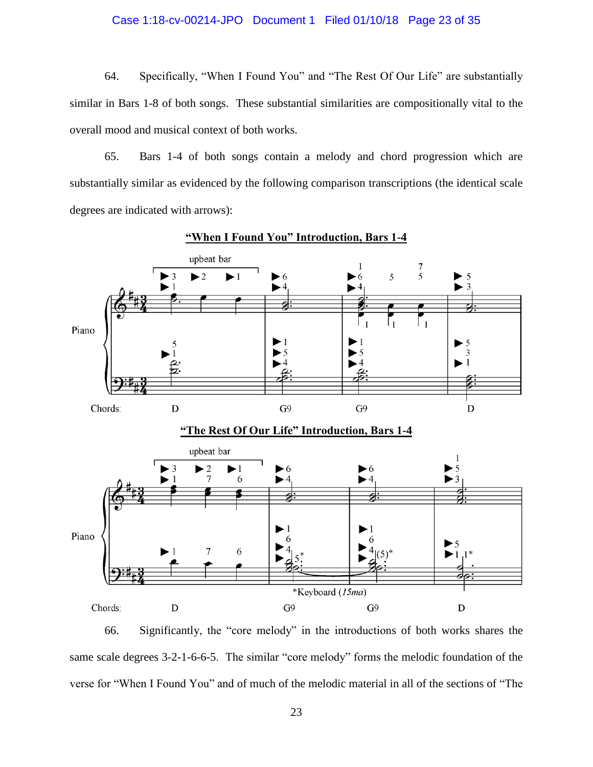# Case 1:18-cv-00214-JPO Document 1 Filed 01/10/18 Page 23 of 35

64. Specifically, "When I Found You" and "The Rest Of Our Life" are substantially similar in Bars 1-8 of both songs. These substantial similarities are compositionally vital to the overall mood and musical context of both works.

65. Bars 1-4 of both songs contain a melody and chord progression which are substantially similar as evidenced by the following comparison transcriptions (the identical scale degrees are indicated with arrows):





66. Significantly, the "core melody" in the introductions of both works shares the same scale degrees 3-2-1-6-6-5. The similar "core melody" forms the melodic foundation of the verse for "When I Found You" and of much of the melodic material in all of the sections of "The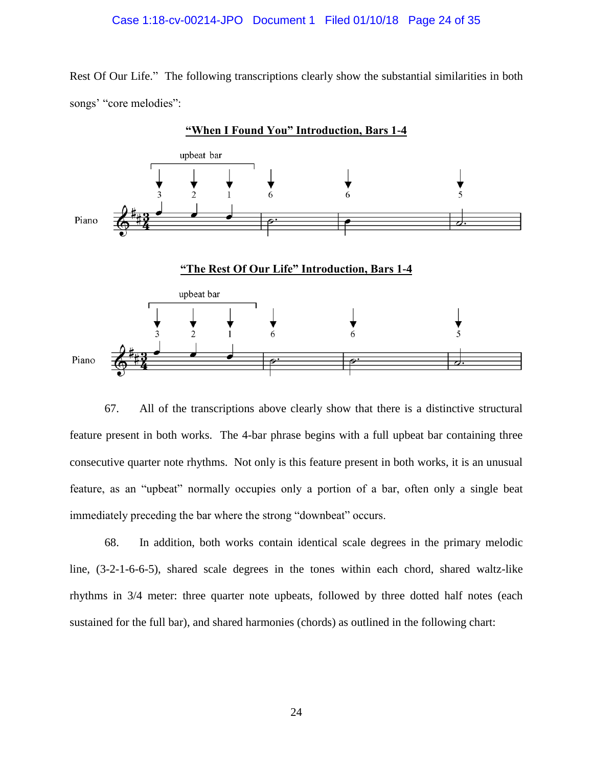### Case 1:18-cv-00214-JPO Document 1 Filed 01/10/18 Page 24 of 35

Rest Of Our Life." The following transcriptions clearly show the substantial similarities in both songs' "core melodies":



67. All of the transcriptions above clearly show that there is a distinctive structural feature present in both works. The 4-bar phrase begins with a full upbeat bar containing three consecutive quarter note rhythms. Not only is this feature present in both works, it is an unusual feature, as an "upbeat" normally occupies only a portion of a bar, often only a single beat immediately preceding the bar where the strong "downbeat" occurs.

68. In addition, both works contain identical scale degrees in the primary melodic line, (3-2-1-6-6-5), shared scale degrees in the tones within each chord, shared waltz-like rhythms in 3/4 meter: three quarter note upbeats, followed by three dotted half notes (each sustained for the full bar), and shared harmonies (chords) as outlined in the following chart: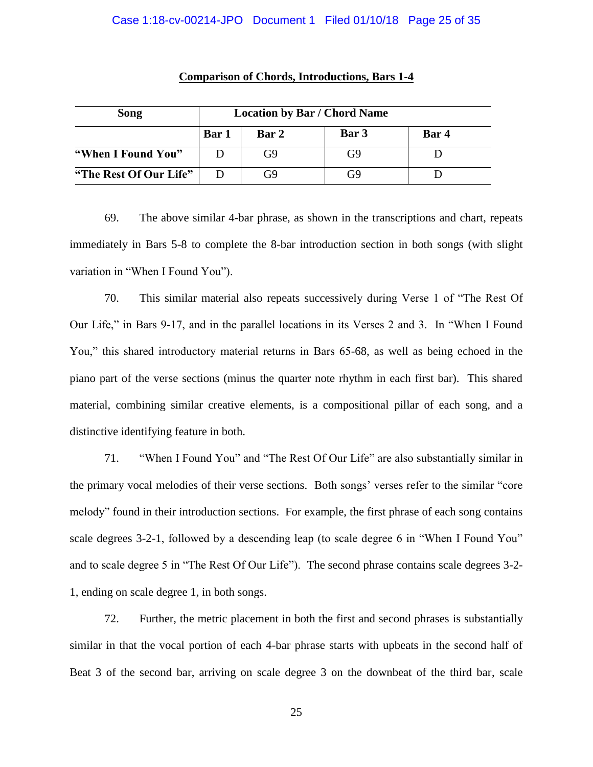# Case 1:18-cv-00214-JPO Document 1 Filed 01/10/18 Page 25 of 35

| Song                   | <b>Location by Bar / Chord Name</b> |                |       |       |
|------------------------|-------------------------------------|----------------|-------|-------|
|                        | <b>Bar</b> 1                        | Bar 2          | Bar 3 | Bar 4 |
| "When I Found You"     |                                     | G <sub>9</sub> | G9    |       |
| "The Rest Of Our Life" |                                     | G9             | G9    |       |

### **Comparison of Chords, Introductions, Bars 1-4**

69. The above similar 4-bar phrase, as shown in the transcriptions and chart, repeats immediately in Bars 5-8 to complete the 8-bar introduction section in both songs (with slight variation in "When I Found You").

70. This similar material also repeats successively during Verse 1 of "The Rest Of Our Life," in Bars 9-17, and in the parallel locations in its Verses 2 and 3. In "When I Found You," this shared introductory material returns in Bars 65-68, as well as being echoed in the piano part of the verse sections (minus the quarter note rhythm in each first bar). This shared material, combining similar creative elements, is a compositional pillar of each song, and a distinctive identifying feature in both.

71. "When I Found You" and "The Rest Of Our Life" are also substantially similar in the primary vocal melodies of their verse sections. Both songs' verses refer to the similar "core melody" found in their introduction sections. For example, the first phrase of each song contains scale degrees 3-2-1, followed by a descending leap (to scale degree 6 in "When I Found You" and to scale degree 5 in "The Rest Of Our Life"). The second phrase contains scale degrees 3-2- 1, ending on scale degree 1, in both songs.

72. Further, the metric placement in both the first and second phrases is substantially similar in that the vocal portion of each 4-bar phrase starts with upbeats in the second half of Beat 3 of the second bar, arriving on scale degree 3 on the downbeat of the third bar, scale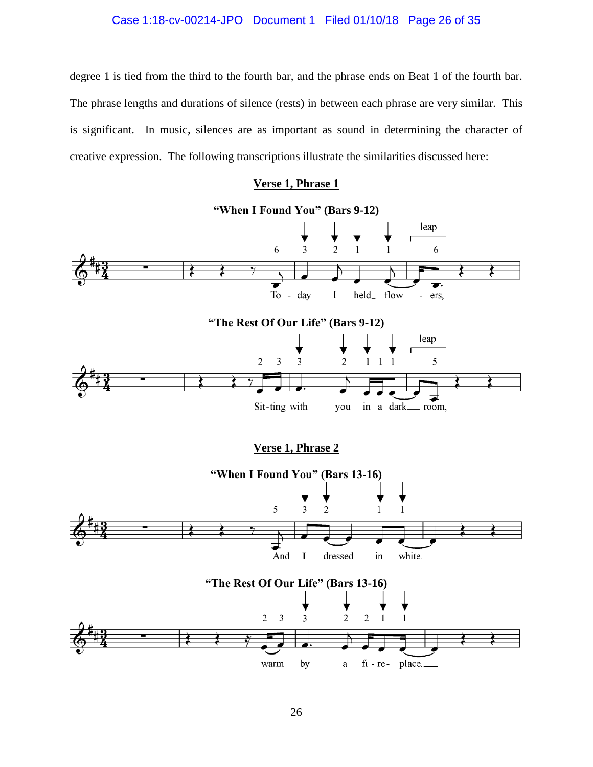# Case 1:18-cv-00214-JPO Document 1 Filed 01/10/18 Page 26 of 35

degree 1 is tied from the third to the fourth bar, and the phrase ends on Beat 1 of the fourth bar. The phrase lengths and durations of silence (rests) in between each phrase are very similar. This is significant. In music, silences are as important as sound in determining the character of creative expression. The following transcriptions illustrate the similarities discussed here:

### **Verse 1, Phrase 1**

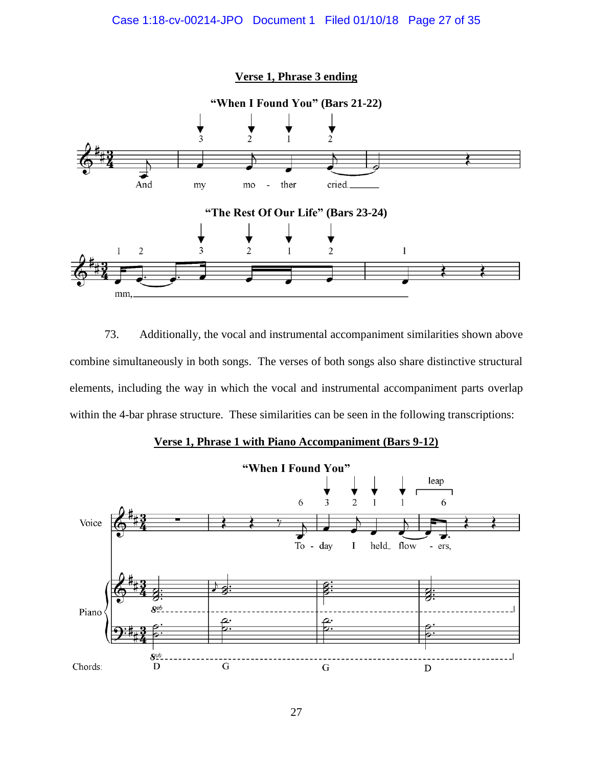# Case 1:18-cv-00214-JPO Document 1 Filed 01/10/18 Page 27 of 35



73. Additionally, the vocal and instrumental accompaniment similarities shown above combine simultaneously in both songs. The verses of both songs also share distinctive structural elements, including the way in which the vocal and instrumental accompaniment parts overlap within the 4-bar phrase structure. These similarities can be seen in the following transcriptions:



## **Verse 1, Phrase 1 with Piano Accompaniment (Bars 9-12)**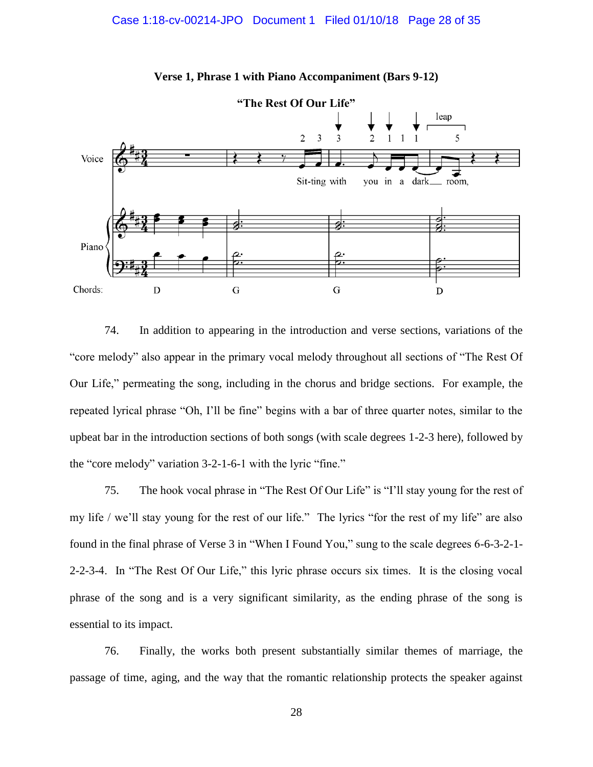

**Verse 1, Phrase 1 with Piano Accompaniment (Bars 9-12)**

74. In addition to appearing in the introduction and verse sections, variations of the "core melody" also appear in the primary vocal melody throughout all sections of "The Rest Of Our Life," permeating the song, including in the chorus and bridge sections. For example, the repeated lyrical phrase "Oh, I'll be fine" begins with a bar of three quarter notes, similar to the upbeat bar in the introduction sections of both songs (with scale degrees 1-2-3 here), followed by the "core melody" variation 3-2-1-6-1 with the lyric "fine."

75. The hook vocal phrase in "The Rest Of Our Life" is "I'll stay young for the rest of my life / we'll stay young for the rest of our life." The lyrics "for the rest of my life" are also found in the final phrase of Verse 3 in "When I Found You," sung to the scale degrees 6-6-3-2-1- 2-2-3-4. In "The Rest Of Our Life," this lyric phrase occurs six times. It is the closing vocal phrase of the song and is a very significant similarity, as the ending phrase of the song is essential to its impact.

76. Finally, the works both present substantially similar themes of marriage, the passage of time, aging, and the way that the romantic relationship protects the speaker against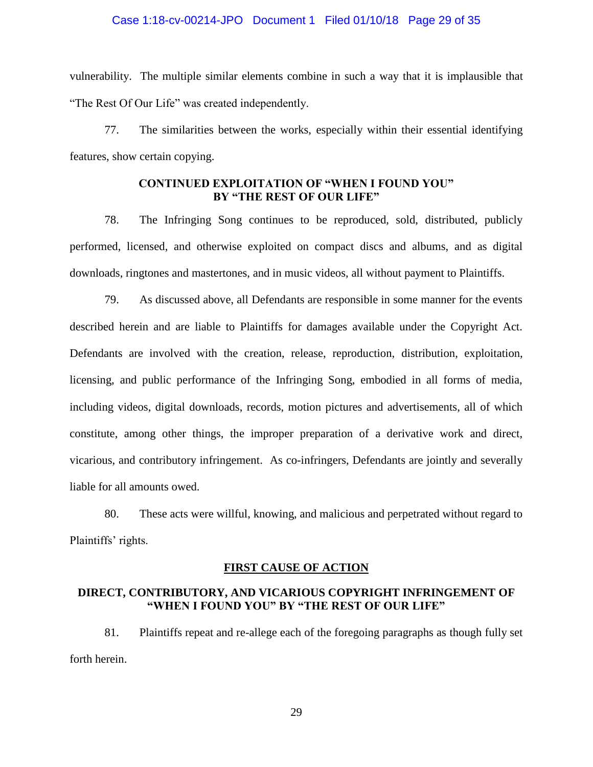### Case 1:18-cv-00214-JPO Document 1 Filed 01/10/18 Page 29 of 35

vulnerability. The multiple similar elements combine in such a way that it is implausible that "The Rest Of Our Life" was created independently.

77. The similarities between the works, especially within their essential identifying features, show certain copying.

## **CONTINUED EXPLOITATION OF "WHEN I FOUND YOU" BY "THE REST OF OUR LIFE"**

78. The Infringing Song continues to be reproduced, sold, distributed, publicly performed, licensed, and otherwise exploited on compact discs and albums, and as digital downloads, ringtones and mastertones, and in music videos, all without payment to Plaintiffs.

79. As discussed above, all Defendants are responsible in some manner for the events described herein and are liable to Plaintiffs for damages available under the Copyright Act. Defendants are involved with the creation, release, reproduction, distribution, exploitation, licensing, and public performance of the Infringing Song, embodied in all forms of media, including videos, digital downloads, records, motion pictures and advertisements, all of which constitute, among other things, the improper preparation of a derivative work and direct, vicarious, and contributory infringement. As co-infringers, Defendants are jointly and severally liable for all amounts owed.

80. These acts were willful, knowing, and malicious and perpetrated without regard to Plaintiffs' rights.

### **FIRST CAUSE OF ACTION**

### **DIRECT, CONTRIBUTORY, AND VICARIOUS COPYRIGHT INFRINGEMENT OF "WHEN I FOUND YOU" BY "THE REST OF OUR LIFE"**

81. Plaintiffs repeat and re-allege each of the foregoing paragraphs as though fully set forth herein.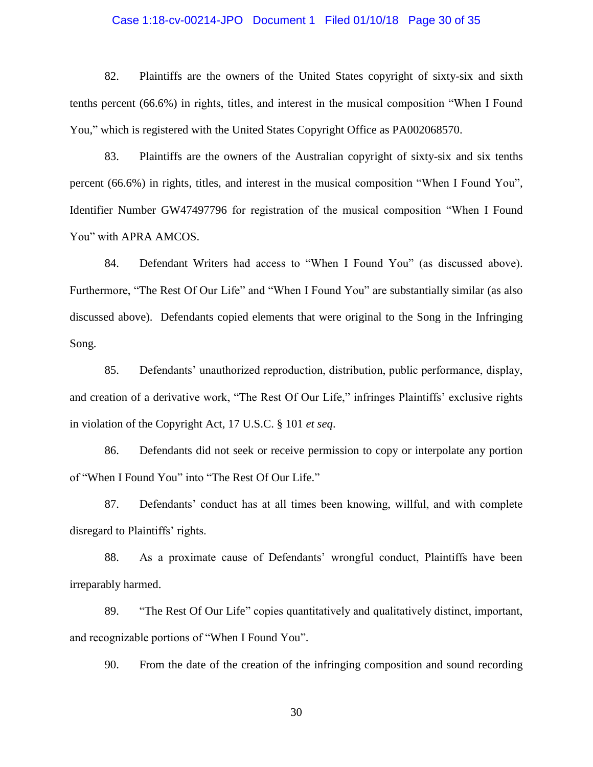### Case 1:18-cv-00214-JPO Document 1 Filed 01/10/18 Page 30 of 35

82. Plaintiffs are the owners of the United States copyright of sixty-six and sixth tenths percent (66.6%) in rights, titles, and interest in the musical composition "When I Found You," which is registered with the United States Copyright Office as PA002068570.

83. Plaintiffs are the owners of the Australian copyright of sixty-six and six tenths percent (66.6%) in rights, titles, and interest in the musical composition "When I Found You", Identifier Number GW47497796 for registration of the musical composition "When I Found You" with APRA AMCOS.

84. Defendant Writers had access to "When I Found You" (as discussed above). Furthermore, "The Rest Of Our Life" and "When I Found You" are substantially similar (as also discussed above). Defendants copied elements that were original to the Song in the Infringing Song.

85. Defendants' unauthorized reproduction, distribution, public performance, display, and creation of a derivative work, "The Rest Of Our Life," infringes Plaintiffs' exclusive rights in violation of the Copyright Act, 17 U.S.C. § 101 *et seq*.

86. Defendants did not seek or receive permission to copy or interpolate any portion of "When I Found You" into "The Rest Of Our Life."

87. Defendants' conduct has at all times been knowing, willful, and with complete disregard to Plaintiffs' rights.

88. As a proximate cause of Defendants' wrongful conduct, Plaintiffs have been irreparably harmed.

89. "The Rest Of Our Life" copies quantitatively and qualitatively distinct, important, and recognizable portions of "When I Found You".

90. From the date of the creation of the infringing composition and sound recording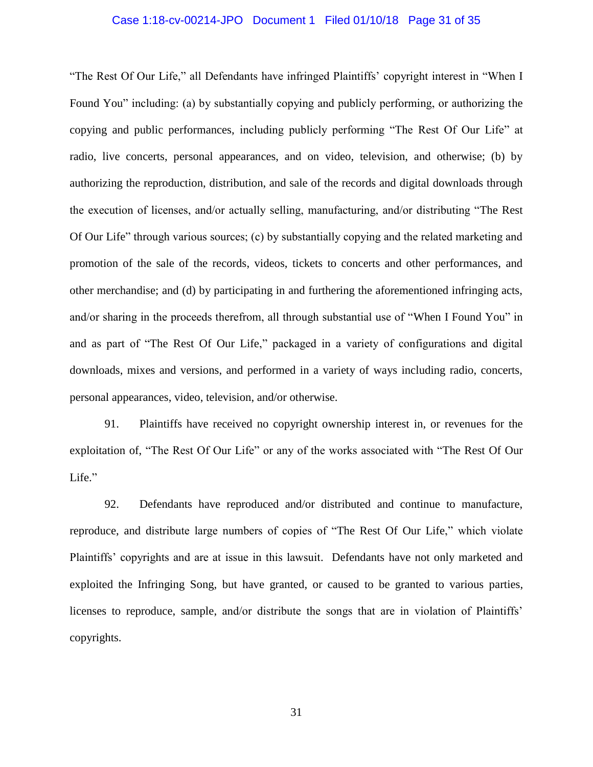# Case 1:18-cv-00214-JPO Document 1 Filed 01/10/18 Page 31 of 35

"The Rest Of Our Life," all Defendants have infringed Plaintiffs' copyright interest in "When I Found You" including: (a) by substantially copying and publicly performing, or authorizing the copying and public performances, including publicly performing "The Rest Of Our Life" at radio, live concerts, personal appearances, and on video, television, and otherwise; (b) by authorizing the reproduction, distribution, and sale of the records and digital downloads through the execution of licenses, and/or actually selling, manufacturing, and/or distributing "The Rest Of Our Life" through various sources; (c) by substantially copying and the related marketing and promotion of the sale of the records, videos, tickets to concerts and other performances, and other merchandise; and (d) by participating in and furthering the aforementioned infringing acts, and/or sharing in the proceeds therefrom, all through substantial use of "When I Found You" in and as part of "The Rest Of Our Life," packaged in a variety of configurations and digital downloads, mixes and versions, and performed in a variety of ways including radio, concerts, personal appearances, video, television, and/or otherwise.

91. Plaintiffs have received no copyright ownership interest in, or revenues for the exploitation of, "The Rest Of Our Life" or any of the works associated with "The Rest Of Our Life."

92. Defendants have reproduced and/or distributed and continue to manufacture, reproduce, and distribute large numbers of copies of "The Rest Of Our Life," which violate Plaintiffs' copyrights and are at issue in this lawsuit. Defendants have not only marketed and exploited the Infringing Song, but have granted, or caused to be granted to various parties, licenses to reproduce, sample, and/or distribute the songs that are in violation of Plaintiffs' copyrights.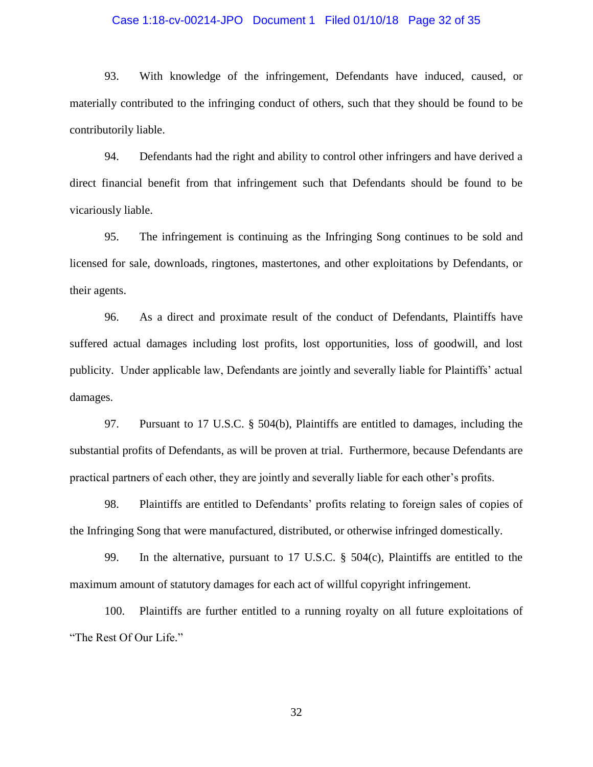### Case 1:18-cv-00214-JPO Document 1 Filed 01/10/18 Page 32 of 35

93. With knowledge of the infringement, Defendants have induced, caused, or materially contributed to the infringing conduct of others, such that they should be found to be contributorily liable.

94. Defendants had the right and ability to control other infringers and have derived a direct financial benefit from that infringement such that Defendants should be found to be vicariously liable.

95. The infringement is continuing as the Infringing Song continues to be sold and licensed for sale, downloads, ringtones, mastertones, and other exploitations by Defendants, or their agents.

96. As a direct and proximate result of the conduct of Defendants, Plaintiffs have suffered actual damages including lost profits, lost opportunities, loss of goodwill, and lost publicity. Under applicable law, Defendants are jointly and severally liable for Plaintiffs' actual damages.

97. Pursuant to 17 U.S.C. § 504(b), Plaintiffs are entitled to damages, including the substantial profits of Defendants, as will be proven at trial. Furthermore, because Defendants are practical partners of each other, they are jointly and severally liable for each other's profits.

98. Plaintiffs are entitled to Defendants' profits relating to foreign sales of copies of the Infringing Song that were manufactured, distributed, or otherwise infringed domestically.

99. In the alternative, pursuant to 17 U.S.C. § 504(c), Plaintiffs are entitled to the maximum amount of statutory damages for each act of willful copyright infringement.

100. Plaintiffs are further entitled to a running royalty on all future exploitations of "The Rest Of Our Life."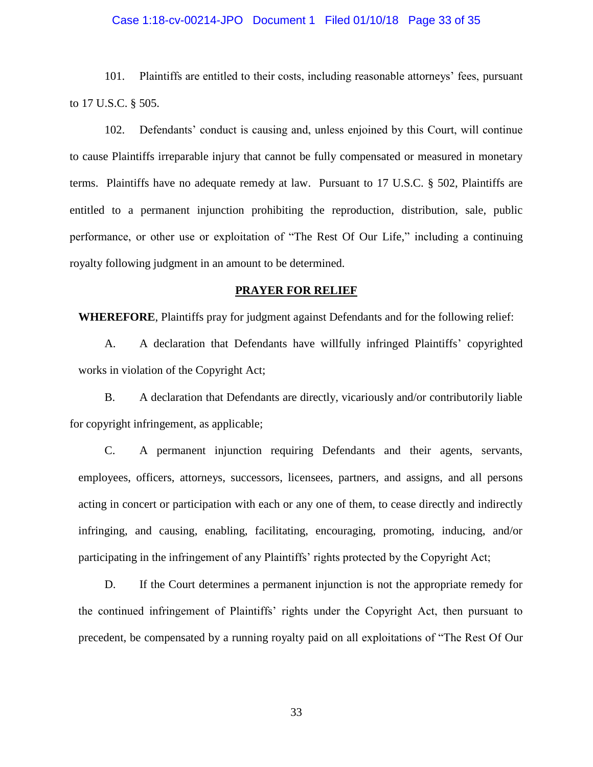# Case 1:18-cv-00214-JPO Document 1 Filed 01/10/18 Page 33 of 35

101. Plaintiffs are entitled to their costs, including reasonable attorneys' fees, pursuant to 17 U.S.C. § 505.

102. Defendants' conduct is causing and, unless enjoined by this Court, will continue to cause Plaintiffs irreparable injury that cannot be fully compensated or measured in monetary terms. Plaintiffs have no adequate remedy at law. Pursuant to 17 U.S.C. § 502, Plaintiffs are entitled to a permanent injunction prohibiting the reproduction, distribution, sale, public performance, or other use or exploitation of "The Rest Of Our Life," including a continuing royalty following judgment in an amount to be determined.

#### **PRAYER FOR RELIEF**

**WHEREFORE**, Plaintiffs pray for judgment against Defendants and for the following relief:

A. A declaration that Defendants have willfully infringed Plaintiffs' copyrighted works in violation of the Copyright Act;

B. A declaration that Defendants are directly, vicariously and/or contributorily liable for copyright infringement, as applicable;

C. A permanent injunction requiring Defendants and their agents, servants, employees, officers, attorneys, successors, licensees, partners, and assigns, and all persons acting in concert or participation with each or any one of them, to cease directly and indirectly infringing, and causing, enabling, facilitating, encouraging, promoting, inducing, and/or participating in the infringement of any Plaintiffs' rights protected by the Copyright Act;

D. If the Court determines a permanent injunction is not the appropriate remedy for the continued infringement of Plaintiffs' rights under the Copyright Act, then pursuant to precedent, be compensated by a running royalty paid on all exploitations of "The Rest Of Our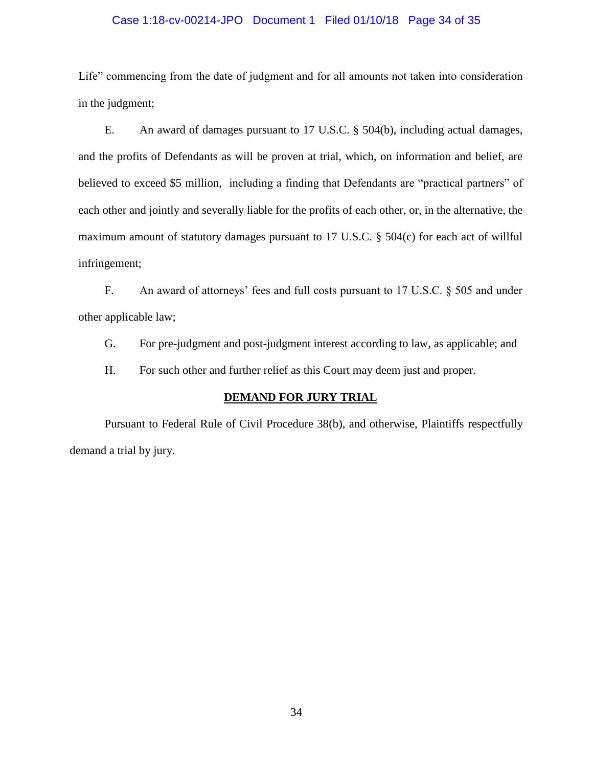### Case 1:18-cv-00214-JPO Document 1 Filed 01/10/18 Page 34 of 35

Life" commencing from the date of judgment and for all amounts not taken into consideration in the judgment;

E. An award of damages pursuant to 17 U.S.C. § 504(b), including actual damages, and the profits of Defendants as will be proven at trial, which, on information and belief, are believed to exceed \$5 million, including a finding that Defendants are "practical partners" of each other and jointly and severally liable for the profits of each other, or, in the alternative, the maximum amount of statutory damages pursuant to 17 U.S.C. § 504(c) for each act of willful infringement;

F. An award of attorneys' fees and full costs pursuant to 17 U.S.C. § 505 and under other applicable law;

G. For pre-judgment and post-judgment interest according to law, as applicable; and

H. For such other and further relief as this Court may deem just and proper.

### **DEMAND FOR JURY TRIAL**

Pursuant to Federal Rule of Civil Procedure 38(b), and otherwise, Plaintiffs respectfully demand a trial by jury.